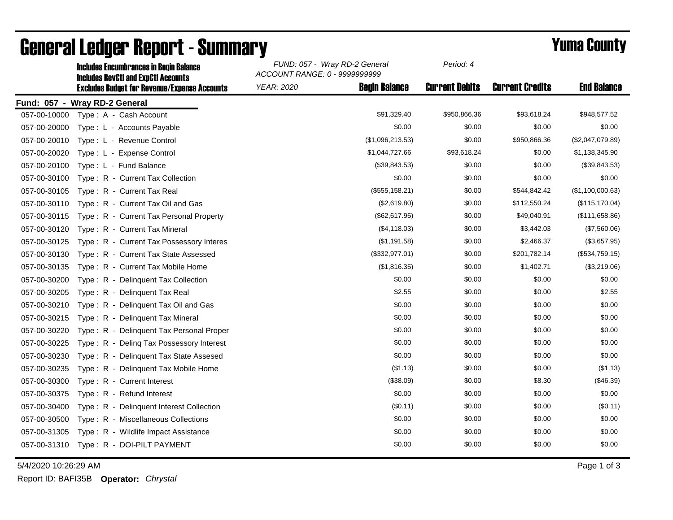|              | <b>Includes Encumbrances in Begin Balance</b>                                                     | FUND: 057 - Wray RD-2 General<br>ACCOUNT RANGE: 0 - 9999999999 | Period: 4             |                        |                    |
|--------------|---------------------------------------------------------------------------------------------------|----------------------------------------------------------------|-----------------------|------------------------|--------------------|
|              | <b>Includes RevCtI and ExpCtI Accounts</b><br><b>Excludes Budget for Revenue/Expense Accounts</b> | <b>Begin Balance</b><br><b>YEAR: 2020</b>                      | <b>Current Debits</b> | <b>Current Credits</b> | <b>End Balance</b> |
|              | Fund: 057 - Wray RD-2 General                                                                     |                                                                |                       |                        |                    |
| 057-00-10000 | Type: A - Cash Account                                                                            | \$91,329.40                                                    | \$950,866.36          | \$93,618.24            | \$948,577.52       |
| 057-00-20000 | Type: L - Accounts Payable                                                                        | \$0.00                                                         | \$0.00                | \$0.00                 | \$0.00             |
| 057-00-20010 | Type: L - Revenue Control                                                                         | (\$1,096,213.53)                                               | \$0.00                | \$950,866.36           | (\$2,047,079.89)   |
| 057-00-20020 | Type: L - Expense Control                                                                         | \$1,044,727.66                                                 | \$93,618.24           | \$0.00                 | \$1,138,345.90     |
| 057-00-20100 | Type: L - Fund Balance                                                                            | (\$39,843.53)                                                  | \$0.00                | \$0.00                 | (\$39,843.53)      |
| 057-00-30100 | Type: R - Current Tax Collection                                                                  | \$0.00                                                         | \$0.00                | \$0.00                 | \$0.00             |
| 057-00-30105 | Type: R - Current Tax Real                                                                        | (\$555, 158.21)                                                | \$0.00                | \$544,842.42           | (\$1,100,000.63)   |
| 057-00-30110 | Type: R - Current Tax Oil and Gas                                                                 | (\$2,619.80)                                                   | \$0.00                | \$112,550.24           | (\$115, 170.04)    |
| 057-00-30115 | Type: R - Current Tax Personal Property                                                           | (\$62,617.95)                                                  | \$0.00                | \$49,040.91            | (\$111,658.86)     |
| 057-00-30120 | Type: R - Current Tax Mineral                                                                     | (\$4,118.03)                                                   | \$0.00                | \$3,442.03             | (\$7,560.06)       |
| 057-00-30125 | Type: R - Current Tax Possessory Interes                                                          | (\$1,191.58)                                                   | \$0.00                | \$2,466.37             | (\$3,657.95)       |
| 057-00-30130 | Type: R - Current Tax State Assessed                                                              | (\$332,977.01)                                                 | \$0.00                | \$201,782.14           | (\$534,759.15)     |
| 057-00-30135 | Type: R - Current Tax Mobile Home                                                                 | (\$1,816.35)                                                   | \$0.00                | \$1,402.71             | (\$3,219.06)       |
| 057-00-30200 | Type: R - Delinquent Tax Collection                                                               | \$0.00                                                         | \$0.00                | \$0.00                 | \$0.00             |
| 057-00-30205 | Type: R - Delinquent Tax Real                                                                     | \$2.55                                                         | \$0.00                | \$0.00                 | \$2.55             |
| 057-00-30210 | Type: R - Delinquent Tax Oil and Gas                                                              | \$0.00                                                         | \$0.00                | \$0.00                 | \$0.00             |
| 057-00-30215 | Type: R - Delinquent Tax Mineral                                                                  | \$0.00                                                         | \$0.00                | \$0.00                 | \$0.00             |
| 057-00-30220 | Type: R - Delinquent Tax Personal Proper                                                          | \$0.00                                                         | \$0.00                | \$0.00                 | \$0.00             |
| 057-00-30225 | Type: R - Deling Tax Possessory Interest                                                          | \$0.00                                                         | \$0.00                | \$0.00                 | \$0.00             |
| 057-00-30230 | Type: R - Delinquent Tax State Assesed                                                            | \$0.00                                                         | \$0.00                | \$0.00                 | \$0.00             |
| 057-00-30235 | Type: R - Delinguent Tax Mobile Home                                                              | (\$1.13)                                                       | \$0.00                | \$0.00                 | (\$1.13)           |
| 057-00-30300 | Type: R - Current Interest                                                                        | (\$38.09)                                                      | \$0.00                | \$8.30                 | (\$46.39)          |
| 057-00-30375 | Type: R - Refund Interest                                                                         | \$0.00                                                         | \$0.00                | \$0.00                 | \$0.00             |
| 057-00-30400 | Type: R - Delinquent Interest Collection                                                          | (\$0.11)                                                       | \$0.00                | \$0.00                 | (\$0.11)           |
| 057-00-30500 | Type: R - Miscellaneous Collections                                                               | \$0.00                                                         | \$0.00                | \$0.00                 | \$0.00             |
| 057-00-31305 | Type: R - Wildlife Impact Assistance                                                              | \$0.00                                                         | \$0.00                | \$0.00                 | \$0.00             |
| 057-00-31310 | Type: R - DOI-PILT PAYMENT                                                                        | \$0.00                                                         | \$0.00                | \$0.00                 | \$0.00             |

## **General Ledger Report - Summary**<br>
Sunno: 057 - Wray RD-2 General Period: 4<br>
Report of the sumpression Reports in Region Relations

5/4/2020 10:26:29 AM Page 1 of 3

Report ID: BAFI35B **Operator:** *Chrystal*

*Period: 4*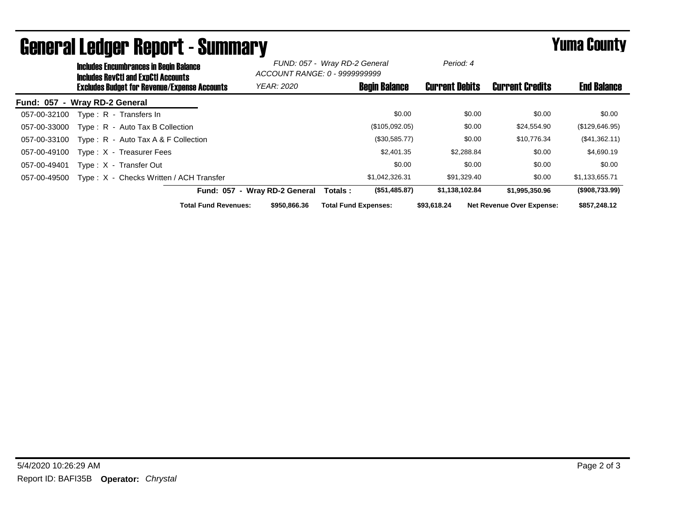|                  | <b>Includes Encumbrances in Begin Balance</b><br><b>Includes RevCtI and ExpCtI Accounts</b><br><b>Excludes Budget for Revenue/Expense Accounts</b> |                                         |                             | FUND: 057 - Wray RD-2 General<br>ACCOUNT RANGE: 0 - 9999999999 |                             | Period: 4            |                       |             |                                  |                    |
|------------------|----------------------------------------------------------------------------------------------------------------------------------------------------|-----------------------------------------|-----------------------------|----------------------------------------------------------------|-----------------------------|----------------------|-----------------------|-------------|----------------------------------|--------------------|
|                  |                                                                                                                                                    |                                         |                             | <b>YEAR: 2020</b>                                              |                             | <b>Begin Balance</b> | <b>Current Debits</b> |             | <b>Current Credits</b>           | <b>End Balance</b> |
| <b>Fund: 057</b> | - Wray RD-2 General                                                                                                                                |                                         |                             |                                                                |                             |                      |                       |             |                                  |                    |
| 057-00-32100     |                                                                                                                                                    | Type: R - Transfers In                  |                             |                                                                |                             | \$0.00               |                       | \$0.00      | \$0.00                           | \$0.00             |
| 057-00-33000     |                                                                                                                                                    | Type: R - Auto Tax B Collection         |                             |                                                                |                             | (\$105,092.05)       |                       | \$0.00      | \$24,554.90                      | (\$129,646.95)     |
| 057-00-33100     |                                                                                                                                                    | Type: R - Auto Tax A & F Collection     |                             |                                                                |                             | (\$30,585.77)        |                       | \$0.00      | \$10.776.34                      | (\$41,362.11)      |
| 057-00-49100     |                                                                                                                                                    | Type: X - Treasurer Fees                |                             |                                                                |                             | \$2,401.35           |                       | \$2,288.84  | \$0.00                           | \$4,690.19         |
| 057-00-49401     |                                                                                                                                                    | Type: X - Transfer Out                  |                             |                                                                |                             | \$0.00               |                       | \$0.00      | \$0.00                           | \$0.00             |
| 057-00-49500     |                                                                                                                                                    | Type: X - Checks Written / ACH Transfer |                             |                                                                |                             | \$1,042,326.31       |                       | \$91,329.40 | \$0.00                           | \$1,133,655.71     |
|                  |                                                                                                                                                    |                                         |                             | Fund: 057 - Wray RD-2 General                                  | Totals :                    | (\$51,485.87)        | \$1,138,102.84        |             | \$1.995.350.96                   | (\$908,733.99)     |
|                  |                                                                                                                                                    |                                         | <b>Total Fund Revenues:</b> | \$950,866,36                                                   | <b>Total Fund Expenses:</b> |                      | \$93,618,24           |             | <b>Net Revenue Over Expense:</b> | \$857,248.12       |

## General Ledger Report - Summary **Example 2018** Yuma County